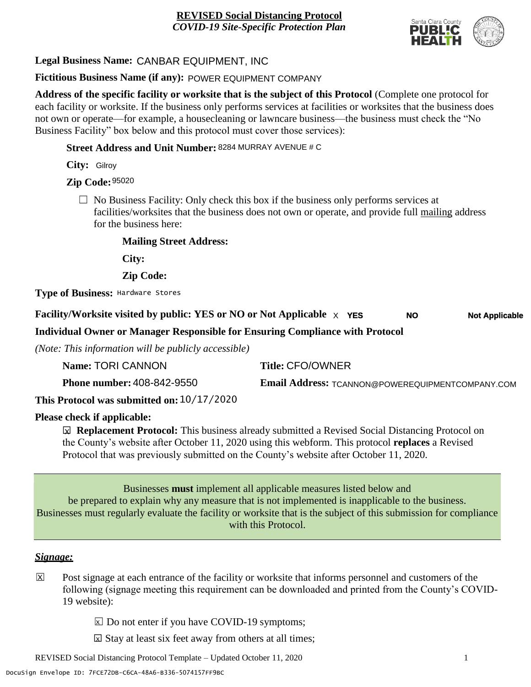

# **Legal Business Name:** CANBAR EQUIPMENT, INC

## **Fictitious Business Name (if any):** POWER EQUIPMENT COMPANY

**Address of the specific facility or worksite that is the subject of this Protocol** (Complete one protocol for each facility or worksite. If the business only performs services at facilities or worksites that the business does not own or operate—for example, a housecleaning or lawncare business—the business must check the "No Business Facility" box below and this protocol must cover those services):

**Street Address and Unit Number:** 8284 MURRAY AVENUE # C

**City:** Gilroy

**Zip Code:** 95020

 $\Box$  No Business Facility: Only check this box if the business only performs services at facilities/worksites that the business does not own or operate, and provide full mailing address for the business here:

**Mailing Street Address:**

**City:**

**Zip Code:**

**Type of Business:** Hardware Stores

#### **Facility/Worksite visited by public: YES or NO or Not Applicable**  $\times$  **YES NO Not Applicable**

**Individual Owner or Manager Responsible for Ensuring Compliance with Protocol**

*(Note: This information will be publicly accessible)*

| Name: TORI CANNON                 | <b>Title: CFO/OWNER</b>                          |
|-----------------------------------|--------------------------------------------------|
| <b>Phone number: 408-842-9550</b> | Email Address: TCANNON@POWEREQUIPMENTCOMPANY.COM |

**This Protocol was submitted on:** 10/17/2020

# **Please check if applicable:**

**<u><b>⊠**</u> Replacement Protocol: This business already submitted a Revised Social Distancing Protocol on the County's website after October 11, 2020 using this webform. This protocol **replaces** a Revised Protocol that was previously submitted on the County's website after October 11, 2020.

Businesses **must** implement all applicable measures listed below and be prepared to explain why any measure that is not implemented is inapplicable to the business. Businesses must regularly evaluate the facility or worksite that is the subject of this submission for compliance with this Protocol.

### *Signage:*

- Post signage at each entrance of the facility or worksite that informs personnel and customers of the following (signage meeting this requirement can be downloaded and printed from the County's COVID-19 website):  $|\overline{x}|$ 
	- $\boxed{\times}$  Do not enter if you have COVID-19 symptoms;
	- $\boxtimes$  Stay at least six feet away from others at all times;

REVISED Social Distancing Protocol Template – Updated October 11, 2020 1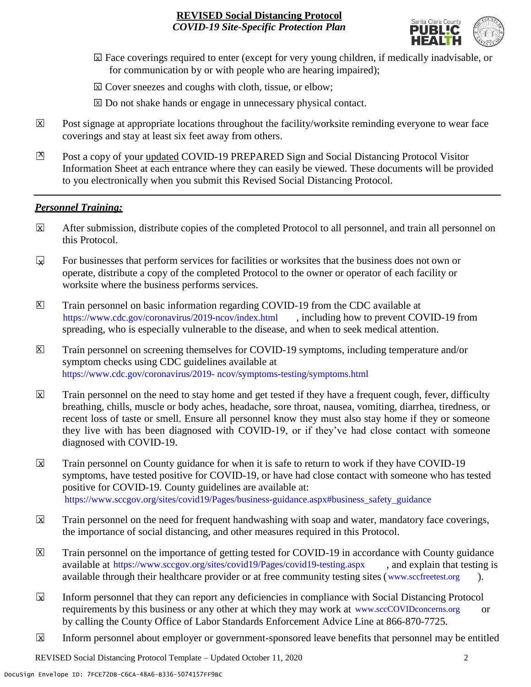

- ☐ Face coverings required to enter (except for very young children, if medically inadvisable, or X for communication by or with people who are hearing impaired);
- ⊠ Cover sneezes and coughs with cloth, tissue, or elbow;
- ⊠ Do not shake hands or engage in unnecessary physical contact.
- Post signage at appropriate locations throughout the facility/worksite reminding everyone to wear face coverings and stay at least six feet away from others. X
- Post a copy of your updated COVID-19 PREPARED Sign and Social Distancing Protocol Visitor Information Sheet at each entrance where they can easily be viewed. These documents will be provided to you electronically when you submit this Revised Social Distancing Protocol.  $\mathbb{Z}$

#### *Personnel Training:*

- After submission, distribute copies of the completed Protocol to all personnel, and train all personnel on this Protocol.  $\mathbf x$
- For businesses that perform services for facilities or worksites that the business does not own or operate, distribute a copy of the completed Protocol to the owner or operator of each facility or worksite where the business performs services.  $\mathbf{v}$
- Train personnel on basic information regarding COVID-19 from the CDC available at [https://www.cdc.gov/coronavirus/2019-ncov/index.html,](https://www.cdc.gov/coronavirus/2019-ncov/index.html) including how to prevent COVID-19 from spreading, who is especially vulnerable to the disease, and when to seek medical attention.  $\mathsf{X}$
- Train personnel on screening themselves for COVID-19 symptoms, including temperature and/or symptom checks using CDC guidelines available at [https://www.cdc.gov/coronavirus/2019-](https://www.cdc.gov/coronavirus/2019-ncov/symptoms-testing/symptoms.html) [ncov/symptoms-testing/symptoms.html.](https://www.cdc.gov/coronavirus/2019-ncov/symptoms-testing/symptoms.html) https://www.cdc.gov/coronavirus/2019- ncov/symptoms-testing/symptoms.html  $|\mathsf{X}|$
- Train personnel on the need to stay home and get tested if they have a frequent cough, fever, difficulty breathing, chills, muscle or body aches, headache, sore throat, nausea, vomiting, diarrhea, tiredness, or recent loss of taste or smell. Ensure all personnel know they must also stay home if they or someone they live with has been diagnosed with COVID-19, or if they've had close contact with someone diagnosed with COVID-19.  $\overline{\mathsf{x}}$
- Train personnel on County guidance for when it is safe to return to work if they have COVID-19 symptoms, have tested positive for COVID-19, or have had close contact with someone who has tested positive for COVID-19. County guidelines are available at: [https://www.sccgov.org/sites/covid19/Pages/business-guidance.aspx#business\\_safety\\_guidance.](https://www.sccgov.org/sites/covid19/Pages/business-guidance.aspx#business_safety_guidance.) https://www.sccgov.org/sites/covid19/Pages/business-guidance.aspx#business\_safety\_guidance  $\overline{\mathbf{x}}$
- Train personnel on the need for frequent handwashing with soap and water, mandatory face coverings, the importance of social distancing, and other measures required in this Protocol.  $\overline{\mathsf{x}}$
- Train personnel on the importance of getting tested for COVID-19 in accordance with County guidance available at [https://www.sccgov.org/sites/covid19/Pages/covid19-testing.aspx,](https://www.sccgov.org/sites/covid19/Pages/covid19-testing.aspx) and explain that testing is available through their healthcare provider or at free community testing sites [\(www.sccfreetest.org](http://www.sccfreetest.org/) ).  $\vert X \vert$
- Inform personnel that they can report any deficiencies in compliance with Social Distancing Protocol requirements by this business or any other at which they may work at [www.sccCOVIDconcerns.org](http://www.scccovidconcerns.org/) or by calling the County Office of Labor Standards Enforcement Advice Line at 866-870-7725.  $\overline{\mathbf{x}}$
- Inform personnel about employer or government-sponsored leave benefits that personnel may be entitled  $\boxtimes$

REVISED Social Distancing Protocol Template – Updated October 11, 2020 2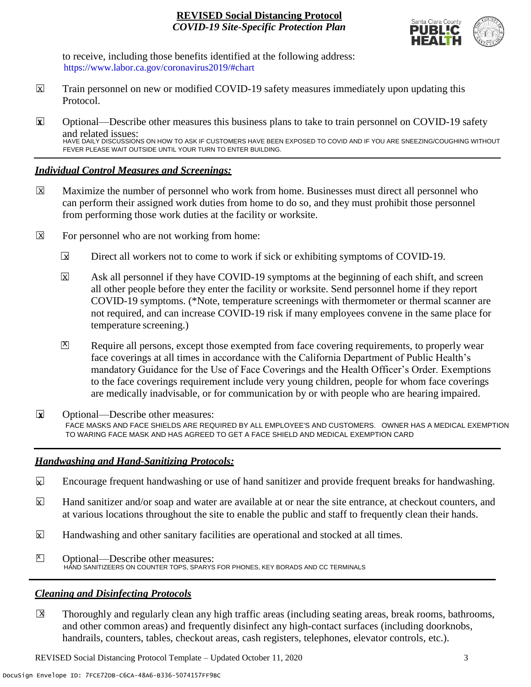

to receive, including those benefits identified at the following address: [https://www.labor.ca.gov/coronavirus2019/#chart.](https://www.labor.ca.gov/coronavirus2019/#chart) https://www.labor.ca.gov/coronavirus2019/#chart

- Train personnel on new or modified COVID-19 safety measures immediately upon updating this Protocol.  $\boxtimes$
- ☐ Optional—Describe other measures this business plans to take to train personnel on COVID-19 safety and related issues: **X** HAVE DAILY DISCUSSIONS ON HOW TO ASK IF CUSTOMERS HAVE BEEN EXPOSED TO COVID AND IF YOU ARE SNEEZING/COUGHING WITHOUT FEVER PLEASE WAIT OUTSIDE UNTIL YOUR TURN TO ENTER BUILDING.

## *Individual Control Measures and Screenings:*

- Maximize the number of personnel who work from home. Businesses must direct all personnel who can perform their assigned work duties from home to do so, and they must prohibit those personnel from performing those work duties at the facility or worksite.  $|\overline{X}|$
- For personnel who are not working from home:  $\boxtimes$ 
	- Direct all workers not to come to work if sick or exhibiting symptoms of COVID-19.  $\overline{\mathbf{x}}$
	- Ask all personnel if they have COVID-19 symptoms at the beginning of each shift, and screen all other people before they enter the facility or worksite. Send personnel home if they report COVID-19 symptoms. (\*Note, temperature screenings with thermometer or thermal scanner are not required, and can increase COVID-19 risk if many employees convene in the same place for temperature screening.)  $\overline{\mathbf{x}}$
	- Require all persons, except those exempted from face covering requirements, to properly wear face coverings at all times in accordance with the California Department of Public Health's mandatory Guidance for the Use of Face Coverings and the Health Officer's Order. Exemptions to the face coverings requirement include very young children, people for whom face coverings are medically inadvisable, or for communication by or with people who are hearing impaired.  $\mathbf{X}$
- ☐ Optional—Describe other measures: **X** FACE MASKS AND FACE SHIELDS ARE REQUIRED BY ALL EMPLOYEE'S AND CUSTOMERS. OWNER HAS A MEDICAL EXEMPTION TO WARING FACE MASK AND HAS AGREED TO GET A FACE SHIELD AND MEDICAL EXEMPTION CARD

# *Handwashing and Hand-Sanitizing Protocols:*

- Encourage frequent handwashing or use of hand sanitizer and provide frequent breaks for handwashing.  $\mathbf{x}$
- Hand sanitizer and/or soap and water are available at or near the site entrance, at checkout counters, and at various locations throughout the site to enable the public and staff to frequently clean their hands.  $\overline{\mathsf{x}}$
- Handwashing and other sanitary facilities are operational and stocked at all times.  $\mathbf{x}$
- ☐ Optional—Describe other measures:  $\mathbb{X}$ HAND SANITIZEERS ON COUNTER TOPS, SPARYS FOR PHONES, KEY BORADS AND CC TERMINALS

# *Cleaning and Disinfecting Protocols*

☐ Thoroughly and regularly clean any high traffic areas (including seating areas, break rooms, bathrooms, and other common areas) and frequently disinfect any high-contact surfaces (including doorknobs, handrails, counters, tables, checkout areas, cash registers, telephones, elevator controls, etc.).  $\overline{X}$ 

REVISED Social Distancing Protocol Template – Updated October 11, 2020 3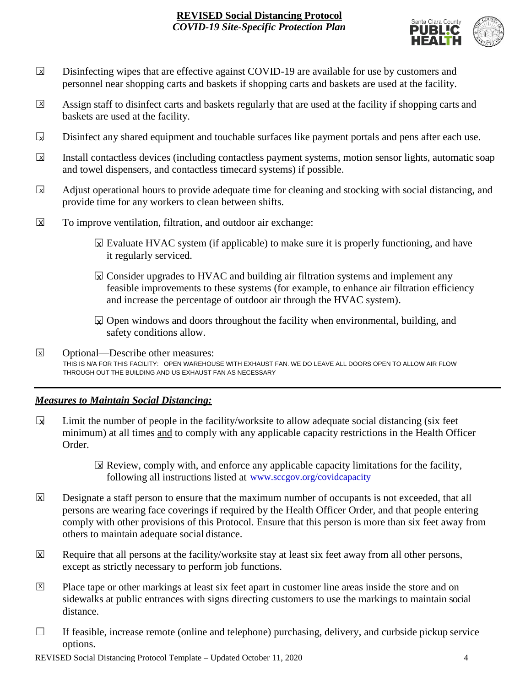

- Disinfecting wipes that are effective against COVID-19 are available for use by customers and personnel near shopping carts and baskets if shopping carts and baskets are used at the facility.  $\boxed{\mathsf{x}}$
- Assign staff to disinfect carts and baskets regularly that are used at the facility if shopping carts and baskets are used at the facility.  $\sqrt{X}$
- Disinfect any shared equipment and touchable surfaces like payment portals and pens after each use.  $\Box$
- Install contactless devices (including contactless payment systems, motion sensor lights, automatic soap and towel dispensers, and contactless timecard systems) if possible.  $\overline{\mathbf{x}}$
- Adjust operational hours to provide adequate time for cleaning and stocking with social distancing, and provide time for any workers to clean between shifts.  $\sqrt{X}$
- To improve ventilation, filtration, and outdoor air exchange:  $\overline{\mathsf{x}}$ 
	- $\boxtimes$  Evaluate HVAC system (if applicable) to make sure it is properly functioning, and have it regularly serviced.
	- $\boxtimes$  Consider upgrades to HVAC and building air filtration systems and implement any feasible improvements to these systems (for example, to enhance air filtration efficiency and increase the percentage of outdoor air through the HVAC system).
	- $\boxdot$  Open windows and doors throughout the facility when environmental, building, and safety conditions allow.
- ☐ Optional—Describe other measures: THIS IS N/A FOR THIS FACILITY: OPEN WAREHOUSE WITH EXHAUST FAN. WE DO LEAVE ALL DOORS OPEN TO ALLOW AIR FLOW THROUGH OUT THE BUILDING AND US EXHAUST FAN AS NECESSARY X

# *Measures to Maintain Social Distancing:*

- Limit the number of people in the facility/worksite to allow adequate social distancing (six feet minimum) at all times and to comply with any applicable capacity restrictions in the Health Officer Order.  $\mathbf{r}$ 
	- $\boxtimes$  Review, comply with, and enforce any applicable capacity limitations for the facility, following all instructions listed at www.sccgov.org/covidcapacity
- Designate a staff person to ensure that the maximum number of occupants is not exceeded, that all persons are wearing face coverings if required by the Health Officer Order, and that people entering comply with other provisions of this Protocol. Ensure that this person is more than six feet away from others to maintain adequate social distance.  $\overline{\mathsf{x}}$
- Require that all persons at the facility/worksite stay at least six feet away from all other persons, except as strictly necessary to perform job functions. X
- Place tape or other markings at least six feet apart in customer line areas inside the store and on sidewalks at public entrances with signs directing customers to use the markings to maintain social distance. X
- $\Box$  If feasible, increase remote (online and telephone) purchasing, delivery, and curbside pickup service options.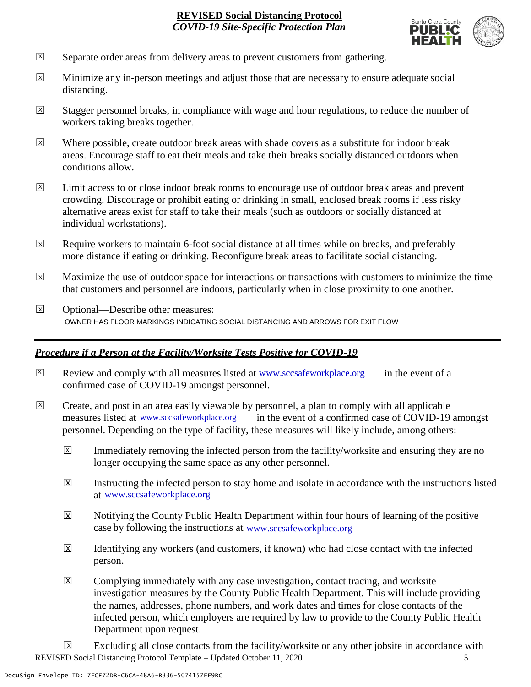

- Separate order areas from delivery areas to prevent customers from gathering. X
- Minimize any in-person meetings and adjust those that are necessary to ensure adequate social distancing.  $\overline{x}$
- Stagger personnel breaks, in compliance with wage and hour regulations, to reduce the number of workers taking breaks together.  $\overline{x}$
- Where possible, create outdoor break areas with shade covers as a substitute for indoor break areas. Encourage staff to eat their meals and take their breaks socially distanced outdoors when conditions allow. X
- Limit access to or close indoor break rooms to encourage use of outdoor break areas and prevent crowding. Discourage or prohibit eating or drinking in small, enclosed break rooms if less risky alternative areas exist for staff to take their meals (such as outdoors or socially distanced at individual workstations).  $\overline{X}$
- Require workers to maintain 6-foot social distance at all times while on breaks, and preferably more distance if eating or drinking. Reconfigure break areas to facilitate social distancing. X
- Maximize the use of outdoor space for interactions or transactions with customers to minimize the time that customers and personnel are indoors, particularly when in close proximity to one another. X
- ☐ Optional—Describe other measures:  $\overline{x}$ OWNER HAS FLOOR MARKINGS INDICATING SOCIAL DISTANCING AND ARROWS FOR EXIT FLOW

# *Procedure if a Person at the Facility/Worksite Tests Positive for COVID-19*

- $\boxtimes$  Review and comply with all measures listed at [www.sccsafeworkplace.org](http://www.sccsafeworkplace.org/) in the event of a confirmed case of COVID-19 amongst personnel. X
- ☐ Create, and post in an area easily viewable by personnel, a plan to comply with all applicable in the event of a confirmed case of COVID-19 amongst personnel. Depending on the type of facility, these measures will likely include, among others: measures listed at www.sccsafeworkplace.org  $\overline{X}$ 
	- Immediately removing the infected person from the facility/worksite and ensuring they are no longer occupying the same space as any other personnel.  $\overline{X}$
	- Instructing the infected person to stay home and isolate in accordance with the instructions listed at [www.sccsafeworkplace.org.](file:///C:/Users/raphael.rajendra/AppData/Local/Microsoft/Windows/INetCache/Content.Outlook/PTLHNOTE/www.sccsafeworkplace.org) www.sccsafeworkplace.org X
	- Notifying the County Public Health Department within four hours of learning of the positive case by following the instructions at www.sccsafeworkplace.org  $\overline{X}$
	- Identifying any workers (and customers, if known) who had close contact with the infected person.  $\overline{X}$
	- Complying immediately with any case investigation, contact tracing, and worksite investigation measures by the County Public Health Department. This will include providing the names, addresses, phone numbers, and work dates and times for close contacts of the infected person, which employers are required by law to provide to the County Public Health Department upon request.  $|\overline{X}|$

REVISED Social Distancing Protocol Template – Updated October 11, 2020 5 Excluding all close contacts from the facility/worksite or any other jobsite in accordance with  $\sqrt{X}$